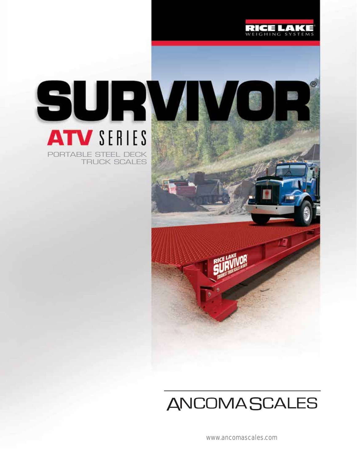





## **ANCOMASCALES**

www.ancomascales.com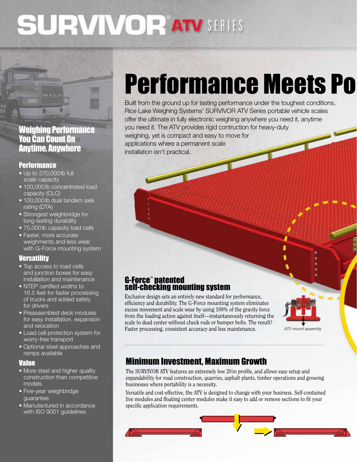# **SURVIVORATV SERIES**

### Weighing Performance You Can Count On Anytime, Anywhere

#### **Performance**

- Up to 270,000lb full scale capacity
- 100,000 lb concentrated load capacity (CLC)
- 100,000lb dual tandem axle rating (DTA)
- Strongest weighbridge for long-lasting durability
- 75,000 lb capacity load cells
- Faster, more accurate weighments and less wear with G-Force mounting system

#### **Versatility**

- Top access to load cells and junction boxes for easy installation and maintenance
- NTEP certified widths to 16.5 feet for faster processing of trucks and added safety for drivers
- Preassembled deck modules for easy installation, expansion and relocation
- Load cell protection system for worry-free transport
- Optional steel approaches and ramps available

#### Value

- More steel and higher quality construction than competitive models
- Five-year weighbridge guarantee
- Manufactured in accordance with ISO 9001 guidelines

# **Performance Meets Po**

Built from the ground up for lasting performance under the toughest conditions, Rice Lake Weighing Systems' SURVIVOR ATV Series portable vehicle scales offer the ultimate in fully electronic weighing anywhere you need it, anytime you need it. The ATV provides rigid contruction for heavy-duty weighing, yet is compact and easy to move for applications where a permanent scale installation isn't practical.

# G-Force™ patented self-checking mounting system

Exclusive design sets an entirely new standard for performance, efficiency and durability. The G-Force mounting system eliminates excess movement and scale wear by using 100% of the gravity force from the loading action against itself—instantaneously returning the scale to dead center without check rods or bumper bolts. The result? Faster processing, consistent accuracy and less maintenance.



with or concern radius or concern radius or concern radius or concern radius or concern radius or concrete approaches. The concrete approaches in the concrete approaches in the concrete approaches in the concrete approache

### Minimum Investment, Maximum Growth

The SURVIVOR ATV features an extremely low 20in profile, and allows easy setup and expandability for road construction, quarries, asphalt plants, timber operations and growing businesses where portability is a necessity.

Versatile and cost-effective, the ATV is designed to change with your business. Self-contained live modules and floating center modules make it easy to add or remove sections to fit your specific application requirements.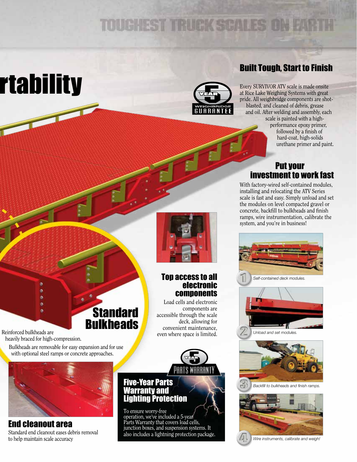## **TOUGHEST TRUCK SCALES ON**

# rtability



## Built Tough, Start to Finish

Every SURVIVOR ATV scale is made onsite at Rice Lake Weighing Systems with great pride. All weighbridge components are shotblasted, and cleaned of debris, grease and oil. After welding and assembly, each scale is painted with a high-

performance epoxy primer, followed by a finish of hard-coat, high-solids urethane primer and paint.

#### Put your investment to work fast

With factory-wired self-contained modules, installing and relocating the ATV Series scale is fast and easy. Simply unload and set the modules on level compacted gravel or concrete, backfill to bulkheads and finish ramps, wire instrumentation, calibrate the system, and you're in business!







*Backfill to bulkheads and finish ramps.*





#### Top access to all electronic components

Load cells and electronic components are accessible through the scale deck, allowing for convenient maintenance,



#### Five-Year Parts Warranty and Lighting Protection

To ensure worry-free operation, we've included a 5-year Parts Warranty that covers load cells, junction boxes, and suspension systems. It also includes a lightning protection package.

**Standard Bulkheads** Reinforced bulkheads are<br>respectively. heavily braced for high-compression.

 Bulkheads are removable for easy expansion and for use with optional steel ramps or concrete approaches.

۰ ö



End cleanout area Standard end cleanout eases debris removal to help maintain scale accuracy